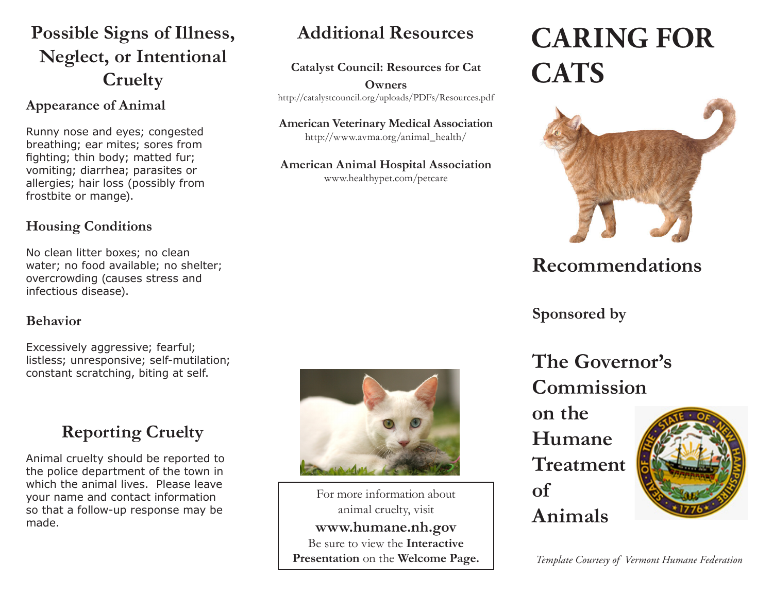# **Possible Signs of Illness, Neglect, or Intentional Cruelty**

### **Appearance of Animal**

Runny nose and eyes; congested breathing; ear mites; sores from fighting; thin body; matted fur; vomiting; diarrhea; parasites or allergies; hair loss (possibly from frostbite or mange).

### **Housing Conditions**

No clean litter boxes; no clean water; no food available; no shelter; overcrowding (causes stress and infectious disease).

#### **Behavior**

Excessively aggressive; fearful; listless; unresponsive; self-mutilation; constant scratching, biting at self.

# **Reporting Cruelty**

Animal cruelty should be reported to the police department of the town in which the animal lives. Please leave your name and contact information so that a follow-up response may be made.



**Additional Resources**

**Catalyst Council: Resources for Cat Owners** http://catalystcouncil.org/uploads/PDFs/Resources.pdf

**American Veterinary Medical Association** http://www.avma.org/animal\_health/

**American Animal Hospital Association** www.healthypet.com/petcare

For more information about animal cruelty, visit **www.humane.nh.gov** Be sure to view the **Interactive Presentation** on the **Welcome Page.**

# **CARING FOR CATS**



# **Recommendations**

**Sponsored by**

**The Governor's Commission** 

**on the Humane Treatment of Animals**



*Template Courtesy of Vermont Humane Federation*